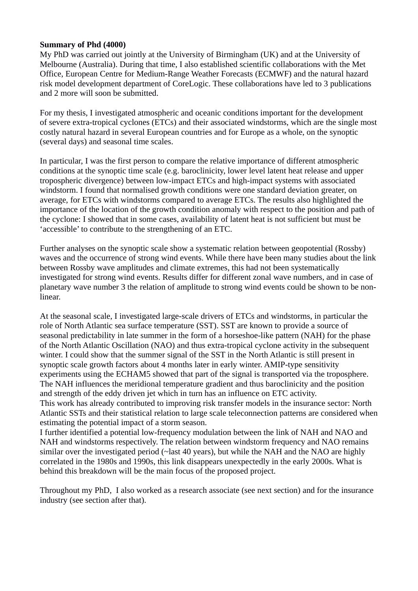#### **Summary of Phd (4000)**

My PhD was carried out jointly at the University of Birmingham (UK) and at the University of Melbourne (Australia). During that time, I also established scientific collaborations with the Met Office, European Centre for Medium-Range Weather Forecasts (ECMWF) and the natural hazard risk model development department of CoreLogic. These collaborations have led to 3 publications and 2 more will soon be submitted.

For my thesis, I investigated atmospheric and oceanic conditions important for the development of severe extra-tropical cyclones (ETCs) and their associated windstorms, which are the single most costly natural hazard in several European countries and for Europe as a whole, on the synoptic (several days) and seasonal time scales.

In particular, I was the first person to compare the relative importance of different atmospheric conditions at the synoptic time scale (e.g. baroclinicity, lower level latent heat release and upper tropospheric divergence) between low-impact ETCs and high-impact systems with associated windstorm. I found that normalised growth conditions were one standard deviation greater, on average, for ETCs with windstorms compared to average ETCs. The results also highlighted the importance of the location of the growth condition anomaly with respect to the position and path of the cyclone: I showed that in some cases, availability of latent heat is not sufficient but must be 'accessible' to contribute to the strengthening of an ETC.

Further analyses on the synoptic scale show a systematic relation between geopotential (Rossby) waves and the occurrence of strong wind events. While there have been many studies about the link between Rossby wave amplitudes and climate extremes, this had not been systematically investigated for strong wind events. Results differ for different zonal wave numbers, and in case of planetary wave number 3 the relation of amplitude to strong wind events could be shown to be nonlinear.

At the seasonal scale, I investigated large-scale drivers of ETCs and windstorms, in particular the role of North Atlantic sea surface temperature (SST). SST are known to provide a source of seasonal predictability in late summer in the form of a horseshoe-like pattern (NAH) for the phase of the North Atlantic Oscillation (NAO) and thus extra-tropical cyclone activity in the subsequent winter. I could show that the summer signal of the SST in the North Atlantic is still present in synoptic scale growth factors about 4 months later in early winter. AMIP-type sensitivity experiments using the ECHAM5 showed that part of the signal is transported via the troposphere. The NAH influences the meridional temperature gradient and thus baroclinicity and the position and strength of the eddy driven jet which in turn has an influence on ETC activity.

This work has already contributed to improving risk transfer models in the insurance sector: North Atlantic SSTs and their statistical relation to large scale teleconnection patterns are considered when estimating the potential impact of a storm season.

I further identified a potential low-frequency modulation between the link of NAH and NAO and NAH and windstorms respectively. The relation between windstorm frequency and NAO remains similar over the investigated period ( $\sim$ last 40 years), but while the NAH and the NAO are highly correlated in the 1980s and 1990s, this link disappears unexpectedly in the early 2000s. What is behind this breakdown will be the main focus of the proposed project.

Throughout my PhD, I also worked as a research associate (see next section) and for the insurance industry (see section after that).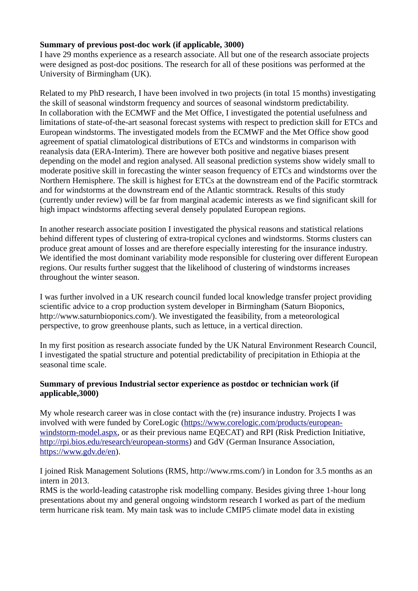# **Summary of previous post-doc work (if applicable, 3000)**

I have 29 months experience as a research associate. All but one of the research associate projects were designed as post-doc positions. The research for all of these positions was performed at the University of Birmingham (UK).

Related to my PhD research, I have been involved in two projects (in total 15 months) investigating the skill of seasonal windstorm frequency and sources of seasonal windstorm predictability. In collaboration with the ECMWF and the Met Office, I investigated the potential usefulness and limitations of state-of-the-art seasonal forecast systems with respect to prediction skill for ETCs and European windstorms. The investigated models from the ECMWF and the Met Office show good agreement of spatial climatological distributions of ETCs and windstorms in comparison with reanalysis data (ERA-Interim). There are however both positive and negative biases present depending on the model and region analysed. All seasonal prediction systems show widely small to moderate positive skill in forecasting the winter season frequency of ETCs and windstorms over the Northern Hemisphere. The skill is highest for ETCs at the downstream end of the Pacific stormtrack and for windstorms at the downstream end of the Atlantic stormtrack. Results of this study (currently under review) will be far from marginal academic interests as we find significant skill for high impact windstorms affecting several densely populated European regions.

In another research associate position I investigated the physical reasons and statistical relations behind different types of clustering of extra-tropical cyclones and windstorms. Storms clusters can produce great amount of losses and are therefore especially interesting for the insurance industry. We identified the most dominant variability mode responsible for clustering over different European regions. Our results further suggest that the likelihood of clustering of windstorms increases throughout the winter season.

I was further involved in a UK research council funded local knowledge transfer project providing scientific advice to a crop production system developer in Birmingham (Saturn Bioponics, http://www.saturnbioponics.com/). We investigated the feasibility, from a meteorological perspective, to grow greenhouse plants, such as lettuce, in a vertical direction.

In my first position as research associate funded by the UK Natural Environment Research Council, I investigated the spatial structure and potential predictability of precipitation in Ethiopia at the seasonal time scale.

# **Summary of previous Industrial sector experience as postdoc or technician work (if applicable,3000)**

My whole research career was in close contact with the (re) insurance industry. Projects I was involved with were funded by CoreLogic [\(https://www.corelogic.com/products/european](https://www.corelogic.com/products/european-windstorm-model.aspx)[windstorm-model.aspx,](https://www.corelogic.com/products/european-windstorm-model.aspx) or as their previous name EQECAT) and RPI (Risk Prediction Initiative, [http://rpi.bios.edu/research/european-storms\)](http://rpi.bios.edu/research/european-storms) and GdV (German Insurance Association, [https://www.gdv.de/en\)](https://www.gdv.de/en).

I joined Risk Management Solutions (RMS, http://www.rms.com/) in London for 3.5 months as an intern in 2013.

RMS is the world-leading catastrophe risk modelling company. Besides giving three 1-hour long presentations about my and general ongoing windstorm research I worked as part of the medium term hurricane risk team. My main task was to include CMIP5 climate model data in existing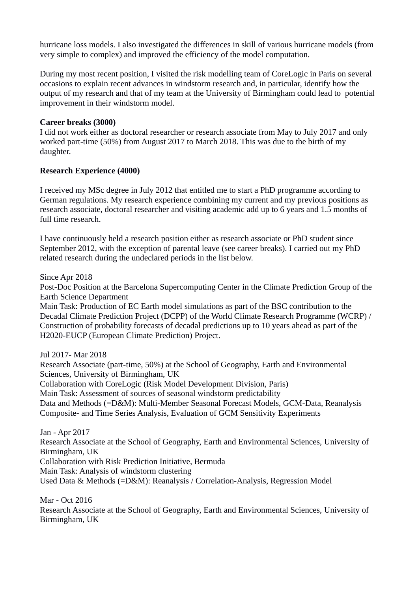hurricane loss models. I also investigated the differences in skill of various hurricane models (from very simple to complex) and improved the efficiency of the model computation.

During my most recent position, I visited the risk modelling team of CoreLogic in Paris on several occasions to explain recent advances in windstorm research and, in particular, identify how the output of my research and that of my team at the University of Birmingham could lead to potential improvement in their windstorm model.

# **Career breaks (3000)**

I did not work either as doctoral researcher or research associate from May to July 2017 and only worked part-time (50%) from August 2017 to March 2018. This was due to the birth of my daughter.

# **Research Experience (4000)**

I received my MSc degree in July 2012 that entitled me to start a PhD programme according to German regulations. My research experience combining my current and my previous positions as research associate, doctoral researcher and visiting academic add up to 6 years and 1.5 months of full time research.

I have continuously held a research position either as research associate or PhD student since September 2012, with the exception of parental leave (see career breaks). I carried out my PhD related research during the undeclared periods in the list below.

Since Apr 2018

Post-Doc Position at the Barcelona Supercomputing Center in the Climate Prediction Group of the Earth Science Department

Main Task: Production of EC Earth model simulations as part of the BSC contribution to the Decadal Climate Prediction Project (DCPP) of the World Climate Research Programme (WCRP) / Construction of probability forecasts of decadal predictions up to 10 years ahead as part of the H2020-EUCP (European Climate Prediction) Project.

Jul 2017- Mar 2018

Research Associate (part-time, 50%) at the School of Geography, Earth and Environmental Sciences, University of Birmingham, UK Collaboration with CoreLogic (Risk Model Development Division, Paris) Main Task: Assessment of sources of seasonal windstorm predictability Data and Methods (=D&M): Multi-Member Seasonal Forecast Models, GCM-Data, Reanalysis Composite- and Time Series Analysis, Evaluation of GCM Sensitivity Experiments

Jan - Apr 2017

Research Associate at the School of Geography, Earth and Environmental Sciences, University of Birmingham, UK

Collaboration with Risk Prediction Initiative, Bermuda

Main Task: Analysis of windstorm clustering

Used Data & Methods (=D&M): Reanalysis / Correlation-Analysis, Regression Model

Mar - Oct 2016 Research Associate at the School of Geography, Earth and Environmental Sciences, University of Birmingham, UK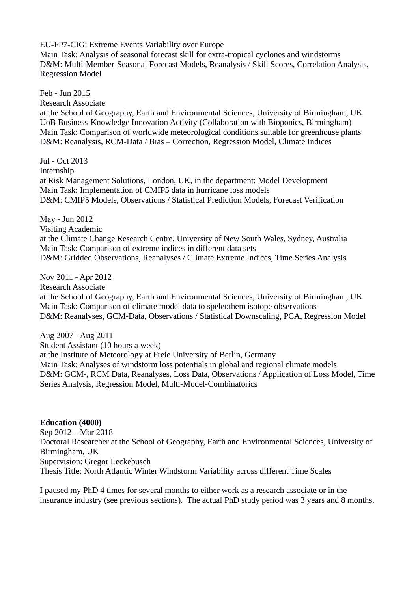EU-FP7-CIG: Extreme Events Variability over Europe Main Task: Analysis of seasonal forecast skill for extra-tropical cyclones and windstorms D&M: Multi-Member-Seasonal Forecast Models, Reanalysis / Skill Scores, Correlation Analysis, Regression Model

Feb - Jun 2015 Research Associate at the School of Geography, Earth and Environmental Sciences, University of Birmingham, UK UoB Business-Knowledge Innovation Activity (Collaboration with Bioponics, Birmingham) Main Task: Comparison of worldwide meteorological conditions suitable for greenhouse plants D&M: Reanalysis, RCM-Data / Bias – Correction, Regression Model, Climate Indices

Jul - Oct 2013 Internship at Risk Management Solutions, London, UK, in the department: Model Development Main Task: Implementation of CMIP5 data in hurricane loss models D&M: CMIP5 Models, Observations / Statistical Prediction Models, Forecast Verification

May - Jun 2012 Visiting Academic at the Climate Change Research Centre, University of New South Wales, Sydney, Australia Main Task: Comparison of extreme indices in different data sets D&M: Gridded Observations, Reanalyses / Climate Extreme Indices, Time Series Analysis

Nov 2011 - Apr 2012 Research Associate at the School of Geography, Earth and Environmental Sciences, University of Birmingham, UK Main Task: Comparison of climate model data to speleothem isotope observations D&M: Reanalyses, GCM-Data, Observations / Statistical Downscaling, PCA, Regression Model

Aug 2007 - Aug 2011 Student Assistant (10 hours a week) at the Institute of Meteorology at Freie University of Berlin, Germany Main Task: Analyses of windstorm loss potentials in global and regional climate models D&M: GCM-, RCM Data, Reanalyses, Loss Data, Observations / Application of Loss Model, Time Series Analysis, Regression Model, Multi-Model-Combinatorics

#### **Education (4000)**

Sep 2012 – Mar 2018 Doctoral Researcher at the School of Geography, Earth and Environmental Sciences, University of Birmingham, UK Supervision: Gregor Leckebusch Thesis Title: North Atlantic Winter Windstorm Variability across different Time Scales

I paused my PhD 4 times for several months to either work as a research associate or in the insurance industry (see previous sections). The actual PhD study period was 3 years and 8 months.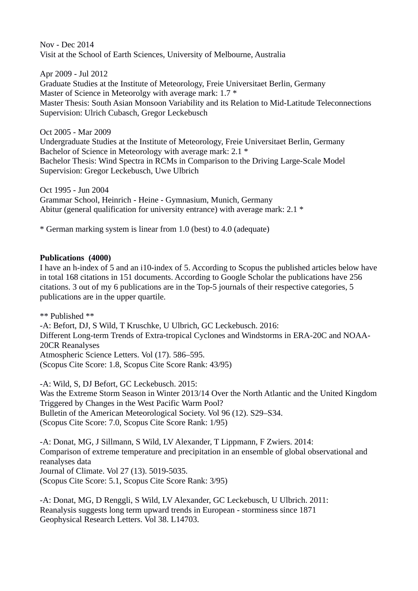Nov - Dec 2014 Visit at the School of Earth Sciences, University of Melbourne, Australia

Apr 2009 - Jul 2012 Graduate Studies at the Institute of Meteorology, Freie Universitaet Berlin, Germany Master of Science in Meteorolgy with average mark: 1.7  $*$ Master Thesis: South Asian Monsoon Variability and its Relation to Mid-Latitude Teleconnections Supervision: Ulrich Cubasch, Gregor Leckebusch

Oct 2005 - Mar 2009 Undergraduate Studies at the Institute of Meteorology, Freie Universitaet Berlin, Germany Bachelor of Science in Meteorology with average mark: 2.1 \* Bachelor Thesis: Wind Spectra in RCMs in Comparison to the Driving Large-Scale Model Supervision: Gregor Leckebusch, Uwe Ulbrich

Oct 1995 - Jun 2004 Grammar School, Heinrich - Heine - Gymnasium, Munich, Germany Abitur (general qualification for university entrance) with average mark: 2.1 \*

\* German marking system is linear from 1.0 (best) to 4.0 (adequate)

### **Publications (4000)**

I have an h-index of 5 and an i10-index of 5. According to Scopus the published articles below have in total 168 citations in 151 documents. According to Google Scholar the publications have 256 citations. 3 out of my 6 publications are in the Top-5 journals of their respective categories, 5 publications are in the upper quartile.

\*\* Published \*\* -A: Befort, DJ, S Wild, T Kruschke, U Ulbrich, GC Leckebusch. 2016: Different Long-term Trends of Extra-tropical Cyclones and Windstorms in ERA-20C and NOAA-20CR Reanalyses Atmospheric Science Letters. Vol (17). 586–595. (Scopus Cite Score: 1.8, Scopus Cite Score Rank: 43/95)

-A: Wild, S, DJ Befort, GC Leckebusch. 2015: Was the Extreme Storm Season in Winter 2013/14 Over the North Atlantic and the United Kingdom Triggered by Changes in the West Pacific Warm Pool? Bulletin of the American Meteorological Society. Vol 96 (12). S29–S34. (Scopus Cite Score: 7.0, Scopus Cite Score Rank: 1/95)

-A: Donat, MG, J Sillmann, S Wild, LV Alexander, T Lippmann, F Zwiers. 2014: Comparison of extreme temperature and precipitation in an ensemble of global observational and reanalyses data Journal of Climate. Vol 27 (13). 5019-5035. (Scopus Cite Score: 5.1, Scopus Cite Score Rank: 3/95)

-A: Donat, MG, D Renggli, S Wild, LV Alexander, GC Leckebusch, U Ulbrich. 2011: Reanalysis suggests long term upward trends in European ‐ storminess since 1871 Geophysical Research Letters. Vol 38. L14703.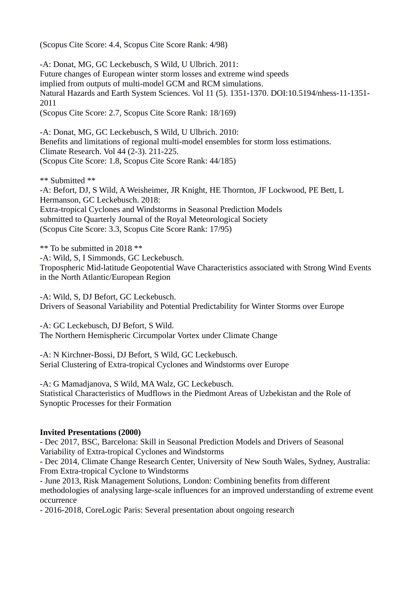(Scopus Cite Score: 4.4, Scopus Cite Score Rank: 4/98)

-A: Donat, MG, GC Leckebusch, S Wild, U Ulbrich. 2011: Future changes of European winter storm losses and extreme wind speeds implied from outputs of multi-model GCM and RCM simulations. Natural Hazards and Earth System Sciences. Vol 11 (5). 1351-1370. DOI:10.5194/nhess-11-1351- 2011 (Scopus Cite Score: 2.7, Scopus Cite Score Rank: 18/169)

-A: Donat, MG, GC Leckebusch, S Wild, U Ulbrich. 2010: Benefits and limitations of regional multi-model ensembles for storm loss estimations. Climate Research. Vol 44 (2-3). 211-225. (Scopus Cite Score: 1.8, Scopus Cite Score Rank: 44/185)

\*\* Submitted \*\*

-A: Befort, DJ, S Wild, A Weisheimer, JR Knight, HE Thornton, JF Lockwood, PE Bett, L Hermanson, GC Leckebusch. 2018: Extra-tropical Cyclones and Windstorms in Seasonal Prediction Models submitted to Quarterly Journal of the Royal Meteorological Society (Scopus Cite Score: 3.3, Scopus Cite Score Rank: 17/95)

\*\* To be submitted in 2018 \*\* -A: Wild, S, I Simmonds, GC Leckebusch. Tropospheric Mid-latitude Geopotential Wave Characteristics associated with Strong Wind Events in the North Atlantic/European Region

-A: Wild, S, DJ Befort, GC Leckebusch. Drivers of Seasonal Variability and Potential Predictability for Winter Storms over Europe

-A: GC Leckebusch, DJ Befort, S Wild. The Northern Hemispheric Circumpolar Vortex under Climate Change

-A: N Kirchner-Bossi, DJ Befort, S Wild, GC Leckebusch. Serial Clustering of Extra-tropical Cyclones and Windstorms over Europe

-A: G Mamadjanova, S Wild, MA Walz, GC Leckebusch. Statistical Characteristics of Mudflows in the Piedmont Areas of Uzbekistan and the Role of Synoptic Processes for their Formation

#### **Invited Presentations (2000)**

- Dec 2017, BSC, Barcelona: Skill in Seasonal Prediction Models and Drivers of Seasonal Variability of Extra-tropical Cyclones and Windstorms

- Dec 2014, Climate Change Research Center, University of New South Wales, Sydney, Australia: From Extra-tropical Cyclone to Windstorms

- June 2013, Risk Management Solutions, London: Combining benefits from different methodologies of analysing large-scale influences for an improved understanding of extreme event occurrence

- 2016-2018, CoreLogic Paris: Several presentation about ongoing research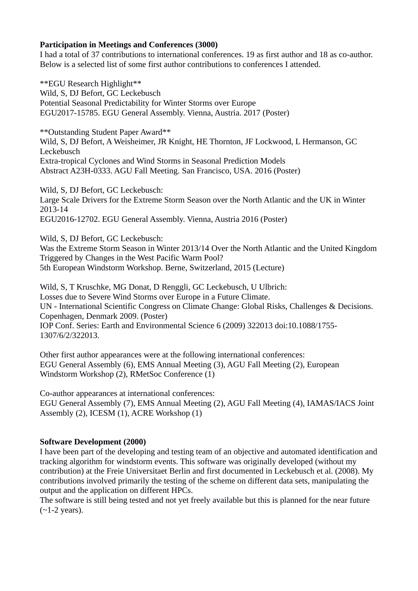## **Participation in Meetings and Conferences (3000)**

I had a total of 37 contributions to international conferences. 19 as first author and 18 as co-author. Below is a selected list of some first author contributions to conferences I attended.

\*\*EGU Research Highlight\*\* Wild, S, DJ Befort, GC Leckebusch Potential Seasonal Predictability for Winter Storms over Europe EGU2017-15785. EGU General Assembly. Vienna, Austria. 2017 (Poster)

\*\*Outstanding Student Paper Award\*\* Wild, S, DJ Befort, A Weisheimer, JR Knight, HE Thornton, JF Lockwood, L Hermanson, GC Leckebusch Extra-tropical Cyclones and Wind Storms in Seasonal Prediction Models Abstract A23H-0333. AGU Fall Meeting. San Francisco, USA. 2016 (Poster)

Wild, S, DJ Befort, GC Leckebusch: Large Scale Drivers for the Extreme Storm Season over the North Atlantic and the UK in Winter 2013-14 EGU2016-12702. EGU General Assembly. Vienna, Austria 2016 (Poster)

Wild, S, DJ Befort, GC Leckebusch:

Was the Extreme Storm Season in Winter 2013/14 Over the North Atlantic and the United Kingdom Triggered by Changes in the West Pacific Warm Pool?

5th European Windstorm Workshop. Berne, Switzerland, 2015 (Lecture)

Wild, S, T Kruschke, MG Donat, D Renggli, GC Leckebusch, U Ulbrich: Losses due to Severe Wind Storms over Europe in a Future Climate. UN - International Scientific Congress on Climate Change: Global Risks, Challenges & Decisions. Copenhagen, Denmark 2009. (Poster) IOP Conf. Series: Earth and Environmental Science 6 (2009) 322013 doi:10.1088/1755- 1307/6/2/322013.

Other first author appearances were at the following international conferences: EGU General Assembly (6), EMS Annual Meeting (3), AGU Fall Meeting (2), European Windstorm Workshop (2), RMetSoc Conference (1)

Co-author appearances at international conferences: EGU General Assembly (7), EMS Annual Meeting (2), AGU Fall Meeting (4), IAMAS/IACS Joint Assembly (2), ICESM (1), ACRE Workshop (1)

# **Software Development (2000)**

I have been part of the developing and testing team of an objective and automated identification and tracking algorithm for windstorm events. This software was originally developed (without my contribution) at the Freie Universitaet Berlin and first documented in Leckebusch et al. (2008). My contributions involved primarily the testing of the scheme on different data sets, manipulating the output and the application on different HPCs.

The software is still being tested and not yet freely available but this is planned for the near future  $(\sim$ 1-2 years).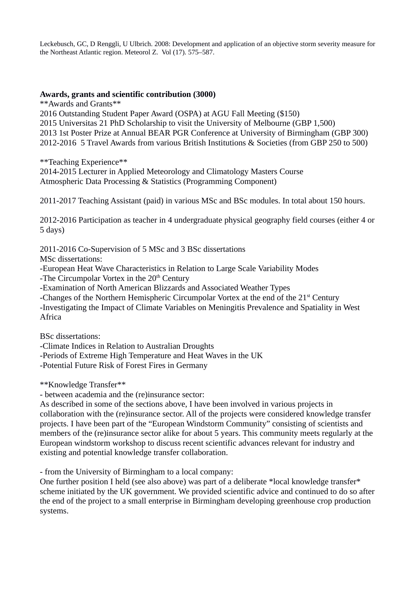Leckebusch, GC, D Renggli, U Ulbrich. 2008: Development and application of an objective storm severity measure for the Northeast Atlantic region. Meteorol Z. Vol (17). 575–587.

#### **Awards, grants and scientific contribution (3000)**

\*\*Awards and Grants\*\*

2016 Outstanding Student Paper Award (OSPA) at AGU Fall Meeting (\$150) 2015 Universitas 21 PhD Scholarship to visit the University of Melbourne (GBP 1,500) 2013 1st Poster Prize at Annual BEAR PGR Conference at University of Birmingham (GBP 300) 2012-2016 5 Travel Awards from various British Institutions & Societies (from GBP 250 to 500)

\*\*Teaching Experience\*\*

2014-2015 Lecturer in Applied Meteorology and Climatology Masters Course Atmospheric Data Processing & Statistics (Programming Component)

2011-2017 Teaching Assistant (paid) in various MSc and BSc modules. In total about 150 hours.

2012-2016 Participation as teacher in 4 undergraduate physical geography field courses (either 4 or 5 days)

2011-2016 Co-Supervision of 5 MSc and 3 BSc dissertations

MSc dissertations:

-European Heat Wave Characteristics in Relation to Large Scale Variability Modes

-The Circumpolar Vortex in the  $20<sup>th</sup>$  Century

-Examination of North American Blizzards and Associated Weather Types

-Changes of the Northern Hemispheric Circumpolar Vortex at the end of the  $21<sup>st</sup>$  Century

-Investigating the Impact of Climate Variables on Meningitis Prevalence and Spatiality in West Africa

BSc dissertations:

-Climate Indices in Relation to Australian Droughts

-Periods of Extreme High Temperature and Heat Waves in the UK

-Potential Future Risk of Forest Fires in Germany

\*\*Knowledge Transfer\*\*

- between academia and the (re)insurance sector:

As described in some of the sections above, I have been involved in various projects in collaboration with the (re)insurance sector. All of the projects were considered knowledge transfer projects. I have been part of the "European Windstorm Community" consisting of scientists and members of the (re)insurance sector alike for about 5 years. This community meets regularly at the European windstorm workshop to discuss recent scientific advances relevant for industry and existing and potential knowledge transfer collaboration.

- from the University of Birmingham to a local company:

One further position I held (see also above) was part of a deliberate \*local knowledge transfer\* scheme initiated by the UK government. We provided scientific advice and continued to do so after the end of the project to a small enterprise in Birmingham developing greenhouse crop production systems.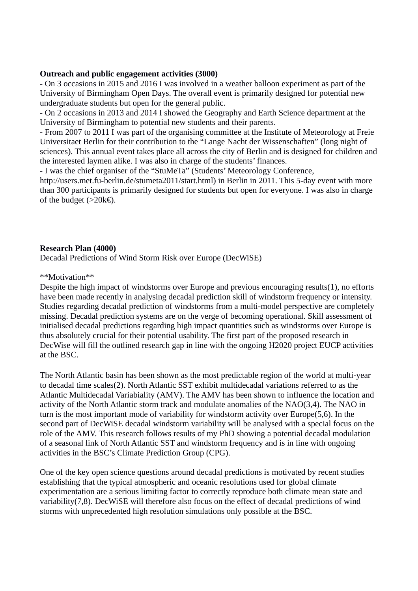### **Outreach and public engagement activities (3000)**

- On 3 occasions in 2015 and 2016 I was involved in a weather balloon experiment as part of the University of Birmingham Open Days. The overall event is primarily designed for potential new undergraduate students but open for the general public.

- On 2 occasions in 2013 and 2014 I showed the Geography and Earth Science department at the University of Birmingham to potential new students and their parents.

- From 2007 to 2011 I was part of the organising committee at the Institute of Meteorology at Freie Universitaet Berlin for their contribution to the "Lange Nacht der Wissenschaften" (long night of sciences). This annual event takes place all across the city of Berlin and is designed for children and the interested laymen alike. I was also in charge of the students' finances.

- I was the chief organiser of the "StuMeTa" (Students' Meteorology Conference, http://users.met.fu-berlin.de/stumeta2011/start.html) in Berlin in 2011. This 5-day event with more than 300 participants is primarily designed for students but open for everyone. I was also in charge of the budget ( $>20kE$ ).

### **Research Plan (4000)**

Decadal Predictions of Wind Storm Risk over Europe (DecWiSE)

#### \*\*Motivation\*\*

Despite the high impact of windstorms over Europe and previous encouraging results(1), no efforts have been made recently in analysing decadal prediction skill of windstorm frequency or intensity. Studies regarding decadal prediction of windstorms from a multi-model perspective are completely missing. Decadal prediction systems are on the verge of becoming operational. Skill assessment of initialised decadal predictions regarding high impact quantities such as windstorms over Europe is thus absolutely crucial for their potential usability. The first part of the proposed research in DecWise will fill the outlined research gap in line with the ongoing H2020 project EUCP activities at the BSC.

The North Atlantic basin has been shown as the most predictable region of the world at multi-year to decadal time scales(2). North Atlantic SST exhibit multidecadal variations referred to as the Atlantic Multidecadal Variabiality (AMV). The AMV has been shown to influence the location and activity of the North Atlantic storm track and modulate anomalies of the NAO(3,4). The NAO in turn is the most important mode of variability for windstorm activity over Europe(5,6). In the second part of DecWiSE decadal windstorm variability will be analysed with a special focus on the role of the AMV. This research follows results of my PhD showing a potential decadal modulation of a seasonal link of North Atlantic SST and windstorm frequency and is in line with ongoing activities in the BSC's Climate Prediction Group (CPG).

One of the key open science questions around decadal predictions is motivated by recent studies establishing that the typical atmospheric and oceanic resolutions used for global climate experimentation are a serious limiting factor to correctly reproduce both climate mean state and variability(7,8). DecWiSE will therefore also focus on the effect of decadal predictions of wind storms with unprecedented high resolution simulations only possible at the BSC.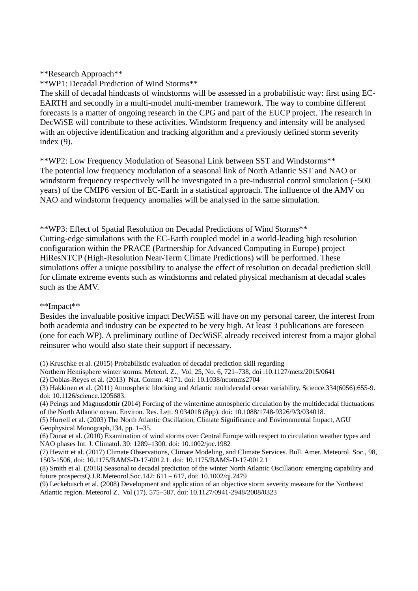### \*\*Research Approach\*\*

\*\*WP1: Decadal Prediction of Wind Storms\*\*

The skill of decadal hindcasts of windstorms will be assessed in a probabilistic way: first using EC-EARTH and secondly in a multi-model multi-member framework. The way to combine different forecasts is a matter of ongoing research in the CPG and part of the EUCP project. The research in DecWiSE will contribute to these activities. Windstorm frequency and intensity will be analysed with an objective identification and tracking algorithm and a previously defined storm severity index (9).

\*\*WP2: Low Frequency Modulation of Seasonal Link between SST and Windstorms\*\* The potential low frequency modulation of a seasonal link of North Atlantic SST and NAO or windstorm frequency respectively will be investigated in a pre-industrial control simulation (~500 years) of the CMIP6 version of EC-Earth in a statistical approach. The influence of the AMV on NAO and windstorm frequency anomalies will be analysed in the same simulation.

\*\*WP3: Effect of Spatial Resolution on Decadal Predictions of Wind Storms\*\* Cutting-edge simulations with the EC-Earth coupled model in a world-leading high resolution configuration within the PRACE (Partnership for Advanced Computing in Europe) project HiResNTCP (High-Resolution Near-Term Climate Predictions) will be performed. These simulations offer a unique possibility to analyse the effect of resolution on decadal prediction skill for climate extreme events such as windstorms and related physical mechanism at decadal scales such as the AMV.

#### \*\*Impact\*\*

Besides the invaluable positive impact DecWiSE will have on my personal career, the interest from both academia and industry can be expected to be very high. At least 3 publications are foreseen (one for each WP). A preliminary outline of DecWiSE already received interest from a major global reinsurer who would also state their support if necessary.

(1) Kruschke et al. (2015) Probabilistic evaluation of decadal prediction skill regarding

Northern Hemisphere winter storms. Meteorl. Z., Vol. 25, No. 6, 721–738, doi :10.1127/metz/2015/0641

(2) Doblas-Reyes et al. (2013) Nat. Comm. 4:171. doi: 10.1038/ncomms2704

(3) Hakkinen et al. (2011) Atmospheric blocking and Atlantic multidecadal ocean variability. Science.334(6056):655-9. doi: 10.1126/science.1205683.

(4) Peings and Magnusdottir (2014) Forcing of the wintertime atmospheric circulation by the multidecadal fluctuations of the North Atlantic ocean. Environ. Res. Lett. 9 034018 (8pp). doi: 10.1088/1748-9326/9/3/034018.

(5) Hurrell et al. (2003) The North Atlantic Oscillation, Climate Significance and Environmental Impact, AGU Geophysical Monograph,134, pp. 1–35.

(6) Donat et al. (2010) Examination of wind storms over Central Europe with respect to circulation weather types and NAO phases Int. J. Climatol. 30: 1289–1300. doi: 10.1002/joc.1982

(7) Hewitt et al. (2017) Climate Observations, Climate Modeling, and Climate Services. Bull. Amer. Meteorol. Soc., 98, 1503-1506, doi: 10.1175/BAMS-D-17-0012.1. doi: 10.1175/BAMS-D-17-0012.1

(8) Smith et al. (2016) Seasonal to decadal prediction of the winter North Atlantic Oscillation: emerging capability and future prospectsQ.J.R.Meteorol.Soc.142: 611 – 617, doi: 10.1002/qj.2479

(9) Leckebusch et al. (2008) Development and application of an objective storm severity measure for the Northeast Atlantic region. Meteorol Z. Vol (17). 575–587. doi: 10.1127/0941-2948/2008/0323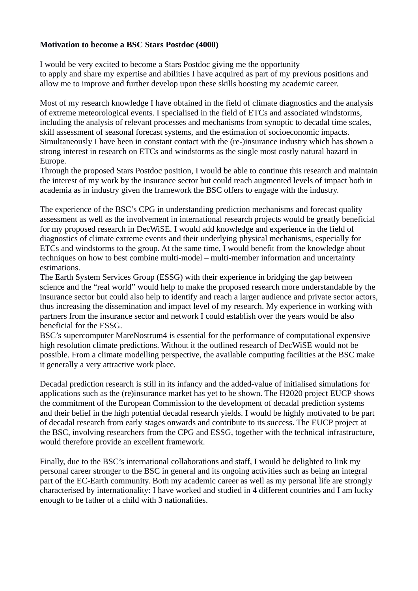## **Motivation to become a BSC Stars Postdoc (4000)**

I would be very excited to become a Stars Postdoc giving me the opportunity to apply and share my expertise and abilities I have acquired as part of my previous positions and allow me to improve and further develop upon these skills boosting my academic career.

Most of my research knowledge I have obtained in the field of climate diagnostics and the analysis of extreme meteorological events. I specialised in the field of ETCs and associated windstorms, including the analysis of relevant processes and mechanisms from synoptic to decadal time scales, skill assessment of seasonal forecast systems, and the estimation of socioeconomic impacts. Simultaneously I have been in constant contact with the (re-)insurance industry which has shown a strong interest in research on ETCs and windstorms as the single most costly natural hazard in Europe.

Through the proposed Stars Postdoc position, I would be able to continue this research and maintain the interest of my work by the insurance sector but could reach augmented levels of impact both in academia as in industry given the framework the BSC offers to engage with the industry.

The experience of the BSC's CPG in understanding prediction mechanisms and forecast quality assessment as well as the involvement in international research projects would be greatly beneficial for my proposed research in DecWiSE. I would add knowledge and experience in the field of diagnostics of climate extreme events and their underlying physical mechanisms, especially for ETCs and windstorms to the group. At the same time, I would benefit from the knowledge about techniques on how to best combine multi-model – multi-member information and uncertainty estimations.

The Earth System Services Group (ESSG) with their experience in bridging the gap between science and the "real world" would help to make the proposed research more understandable by the insurance sector but could also help to identify and reach a larger audience and private sector actors, thus increasing the dissemination and impact level of my research. My experience in working with partners from the insurance sector and network I could establish over the years would be also beneficial for the ESSG.

BSC's supercomputer MareNostrum4 is essential for the performance of computational expensive high resolution climate predictions. Without it the outlined research of DecWiSE would not be possible. From a climate modelling perspective, the available computing facilities at the BSC make it generally a very attractive work place.

Decadal prediction research is still in its infancy and the added-value of initialised simulations for applications such as the (re)insurance market has yet to be shown. The H2020 project EUCP shows the commitment of the European Commission to the development of decadal prediction systems and their belief in the high potential decadal research yields. I would be highly motivated to be part of decadal research from early stages onwards and contribute to its success. The EUCP project at the BSC, involving researchers from the CPG and ESSG, together with the technical infrastructure, would therefore provide an excellent framework.

Finally, due to the BSC's international collaborations and staff, I would be delighted to link my personal career stronger to the BSC in general and its ongoing activities such as being an integral part of the EC-Earth community. Both my academic career as well as my personal life are strongly characterised by internationality: I have worked and studied in 4 different countries and I am lucky enough to be father of a child with 3 nationalities.